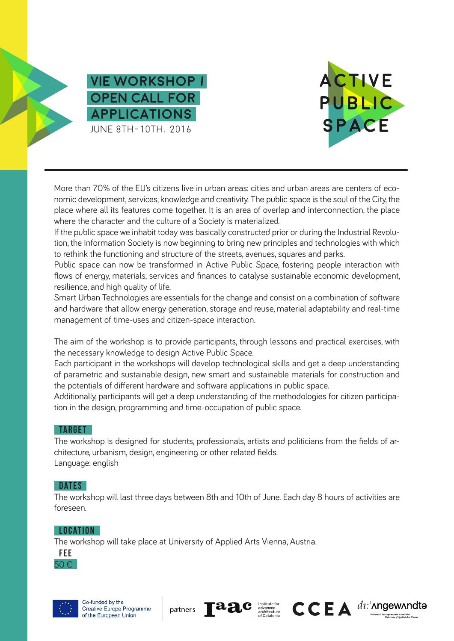



More than 70% of the EU's citizens live in urban areas: cities and urban areas are centers of economic development, services, knowledge and creativity. The public space is the soul of the City, the place where all its features come together. It is an area of overlap and interconnection, the place where the character and the culture of a Society is materialized.

If the public space we inhabit today was basically constructed prior or during the Industrial Revolution, the Information Society is now beginning to bring new principles and technologies with which to rethink the functioning and structure of the streets, avenues, squares and parks.

Public space can now be transformed in Active Public Space, fostering people interaction with flows of energy, materials, services and finances to catalyse sustainable economic development, resilience, and high quality of life.

Smart Urban Technologies are essentials for the change and consist on a combination of software and hardware that allow energy generation, storage and reuse, material adaptability and real-time management of time-uses and citizen-space interaction.

The aim of the workshop is to provide participants, through lessons and practical exercises, with the necessary knowledge to design Active Public Space.

Each participant in the workshops will develop technological skills and get a deep understanding of parametric and sustainable design, new smart and sustainable materials for construction and the potentials of different hardware and software applications in public space.

Additionally, participants will get a deep understanding of the methodologies for citizen participation in the design, programming and time-occupation of public space.

# **TARGET**

The workshop is designed for students, professionals, artists and politicians from the fields of architecture, urbanism, design, engineering or other related fields. Language: english

# **DATES**

The workshop will last three days between 8th and 10th of June. Each day 8 hours of activities are foreseen.

### **LOCATION**

The workshop will take place at University of Applied Arts Vienna, Austria.









Institute for